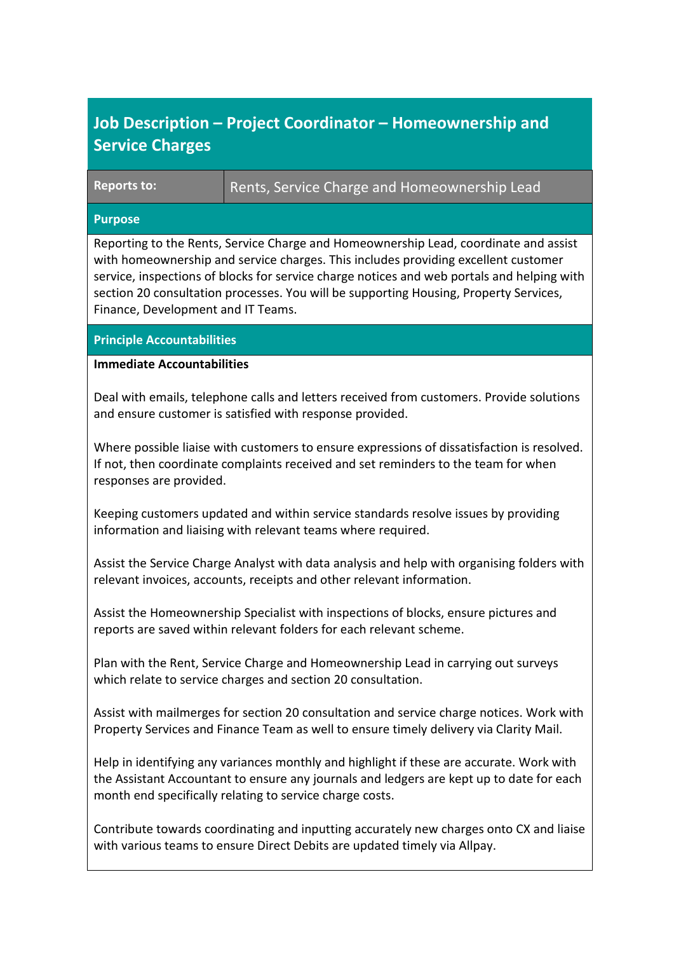| Job Description – Project Coordinator – Homeownership and |  |
|-----------------------------------------------------------|--|
| <b>Service Charges</b>                                    |  |

Reports to: Rents, Service Charge and Homeownership Lead

## **Purpose**

Reporting to the Rents, Service Charge and Homeownership Lead, coordinate and assist with homeownership and service charges. This includes providing excellent customer service, inspections of blocks for service charge notices and web portals and helping with section 20 consultation processes. You will be supporting Housing, Property Services, Finance, Development and IT Teams.

## **Principle Accountabilities**

## **Immediate Accountabilities**

Deal with emails, telephone calls and letters received from customers. Provide solutions and ensure customer is satisfied with response provided.

Where possible liaise with customers to ensure expressions of dissatisfaction is resolved. If not, then coordinate complaints received and set reminders to the team for when responses are provided.

Keeping customers updated and within service standards resolve issues by providing information and liaising with relevant teams where required.

Assist the Service Charge Analyst with data analysis and help with organising folders with relevant invoices, accounts, receipts and other relevant information.

Assist the Homeownership Specialist with inspections of blocks, ensure pictures and reports are saved within relevant folders for each relevant scheme.

Plan with the Rent, Service Charge and Homeownership Lead in carrying out surveys which relate to service charges and section 20 consultation.

Assist with mailmerges for section 20 consultation and service charge notices. Work with Property Services and Finance Team as well to ensure timely delivery via Clarity Mail.

Help in identifying any variances monthly and highlight if these are accurate. Work with the Assistant Accountant to ensure any journals and ledgers are kept up to date for each month end specifically relating to service charge costs.

Contribute towards coordinating and inputting accurately new charges onto CX and liaise with various teams to ensure Direct Debits are updated timely via Allpay.